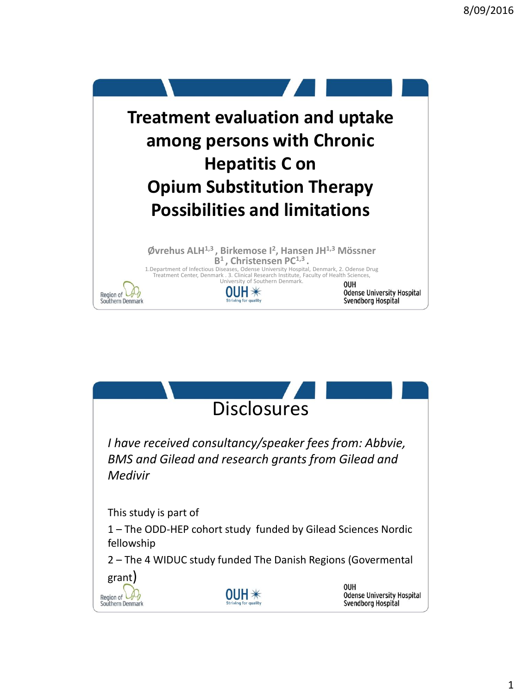

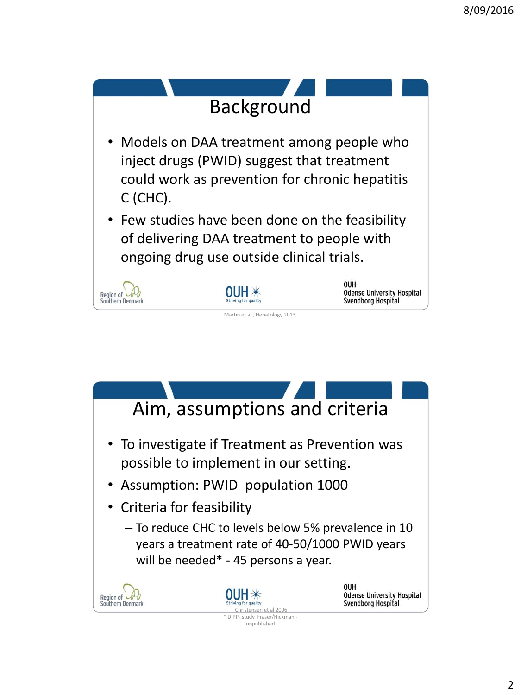

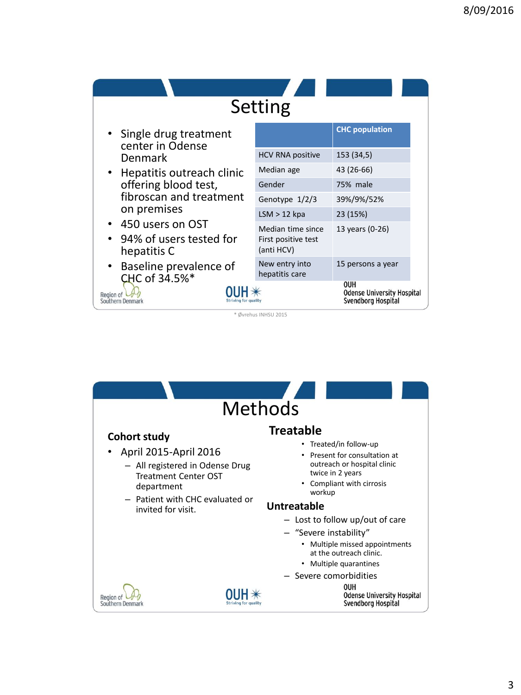| Setting                                                                        |                                                        |                                                                       |
|--------------------------------------------------------------------------------|--------------------------------------------------------|-----------------------------------------------------------------------|
| • Single drug treatment<br>center in Odense                                    |                                                        | <b>CHC</b> population                                                 |
| Denmark                                                                        | <b>HCV RNA positive</b>                                | 153 (34,5)                                                            |
| • Hepatitis outreach clinic<br>offering blood test,<br>fibroscan and treatment | Median age                                             | 43 (26-66)                                                            |
|                                                                                | Gender                                                 | 75% male                                                              |
|                                                                                | Genotype 1/2/3                                         | 39%/9%/52%                                                            |
| on premises                                                                    | $LSM > 12$ kpa                                         | 23 (15%)                                                              |
| • 450 users on OST<br>94% of users tested for<br>hepatitis C                   | Median time since<br>First positive test<br>(anti HCV) | 13 years (0-26)                                                       |
| Baseline prevalence of<br>CHC of 34.5%*                                        | New entry into<br>hepatitis care                       | 15 persons a year                                                     |
| Region of<br>Southern Denmark<br>Striving for qualit                           |                                                        | <b>OUH</b><br><b>Odense University Hospital</b><br>Svendborg Hospital |

\* Øvrehus INHSU 2015

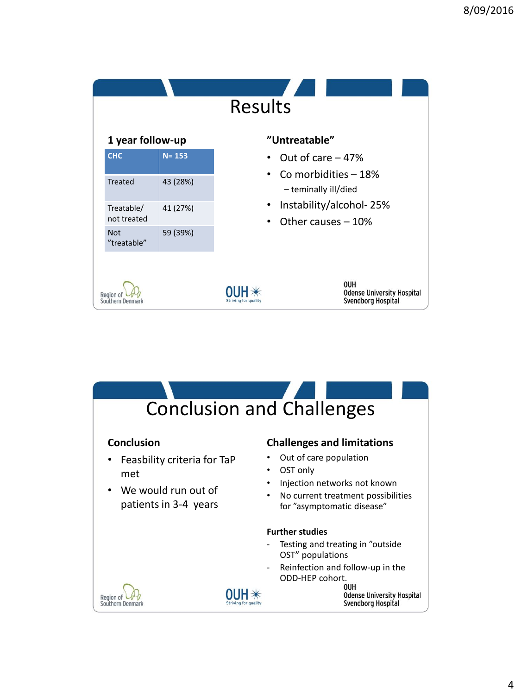